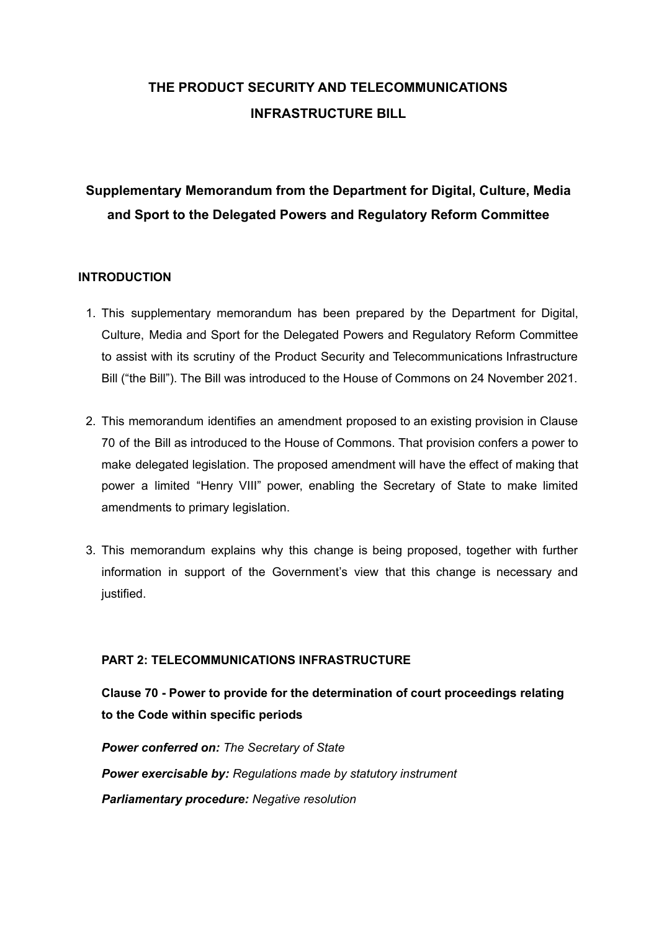## **THE PRODUCT SECURITY AND TELECOMMUNICATIONS INFRASTRUCTURE BILL**

### **Supplementary Memorandum from the Department for Digital, Culture, Media and Sport to the Delegated Powers and Regulatory Reform Committee**

#### **INTRODUCTION**

- 1. This supplementary memorandum has been prepared by the Department for Digital, Culture, Media and Sport for the Delegated Powers and Regulatory Reform Committee to assist with its scrutiny of the Product Security and Telecommunications Infrastructure Bill ("the Bill"). The Bill was introduced to the House of Commons on 24 November 2021.
- 2. This memorandum identifies an amendment proposed to an existing provision in Clause 70 of the Bill as introduced to the House of Commons. That provision confers a power to make delegated legislation. The proposed amendment will have the effect of making that power a limited "Henry VIII" power, enabling the Secretary of State to make limited amendments to primary legislation.
- 3. This memorandum explains why this change is being proposed, together with further information in support of the Government's view that this change is necessary and justified.

#### **PART 2: TELECOMMUNICATIONS INFRASTRUCTURE**

**Clause 70 - Power to provide for the determination of court proceedings relating to the Code within specific periods**

*Power conferred on: The Secretary of State Power exercisable by: Regulations made by statutory instrument Parliamentary procedure: Negative resolution*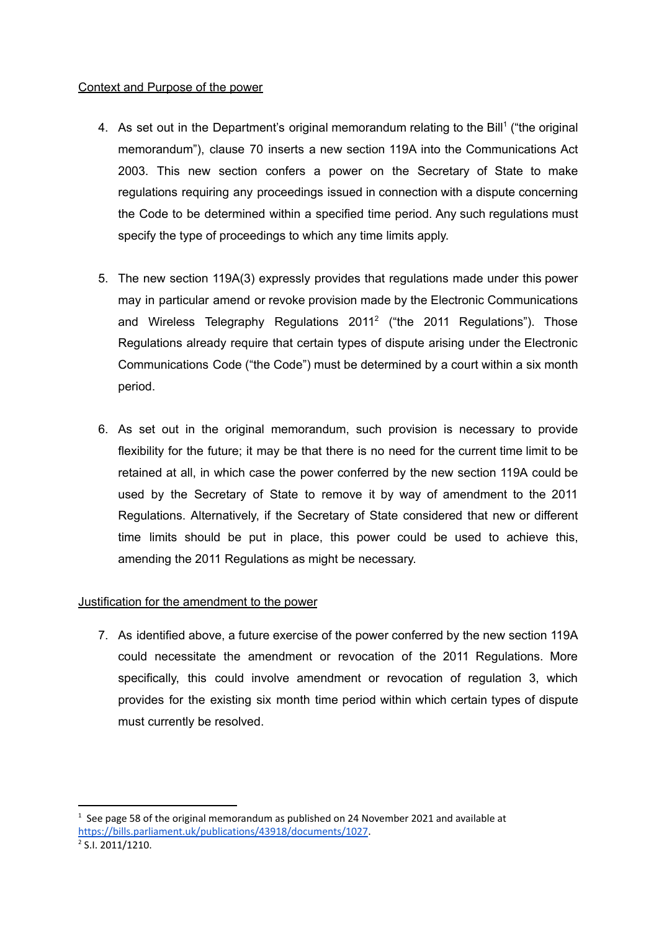#### Context and Purpose of the power

- 4. As set out in the Department's original memorandum relating to the Bill<sup>1</sup> ("the original memorandum"), clause 70 inserts a new section 119A into the Communications Act 2003. This new section confers a power on the Secretary of State to make regulations requiring any proceedings issued in connection with a dispute concerning the Code to be determined within a specified time period. Any such regulations must specify the type of proceedings to which any time limits apply.
- 5. The new section 119A(3) expressly provides that regulations made under this power may in particular amend or revoke provision made by the Electronic Communications and Wireless Telegraphy Regulations 2011<sup>2</sup> ("the 2011 Regulations"). Those Regulations already require that certain types of dispute arising under the Electronic Communications Code ("the Code") must be determined by a court within a six month period.
- 6. As set out in the original memorandum, such provision is necessary to provide flexibility for the future; it may be that there is no need for the current time limit to be retained at all, in which case the power conferred by the new section 119A could be used by the Secretary of State to remove it by way of amendment to the 2011 Regulations. Alternatively, if the Secretary of State considered that new or different time limits should be put in place, this power could be used to achieve this, amending the 2011 Regulations as might be necessary.

### Justification for the amendment to the power

7. As identified above, a future exercise of the power conferred by the new section 119A could necessitate the amendment or revocation of the 2011 Regulations. More specifically, this could involve amendment or revocation of regulation 3, which provides for the existing six month time period within which certain types of dispute must currently be resolved.

 $1$  See page 58 of the original memorandum as published on 24 November 2021 and available at <https://bills.parliament.uk/publications/43918/documents/1027>.

 $2$  S.I. 2011/1210.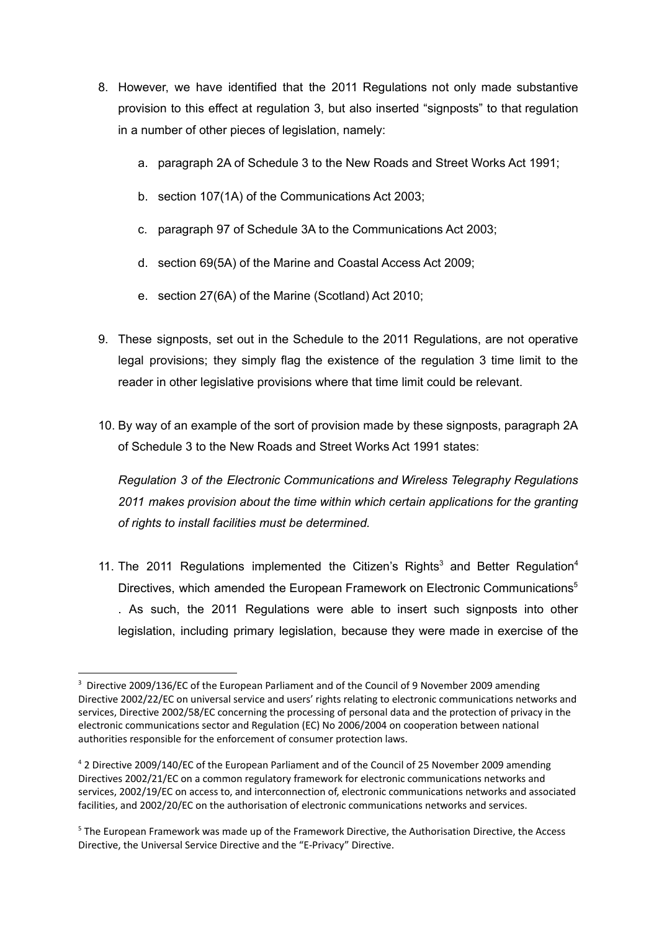- 8. However, we have identified that the 2011 Regulations not only made substantive provision to this effect at regulation 3, but also inserted "signposts" to that regulation in a number of other pieces of legislation, namely:
	- a. paragraph 2A of Schedule 3 to the New Roads and Street Works Act 1991;
	- b. section 107(1A) of the Communications Act 2003;
	- c. paragraph 97 of Schedule 3A to the Communications Act 2003;
	- d. section 69(5A) of the Marine and Coastal Access Act 2009;
	- e. section 27(6A) of the Marine (Scotland) Act 2010;
- 9. These signposts, set out in the Schedule to the 2011 Regulations, are not operative legal provisions; they simply flag the existence of the regulation 3 time limit to the reader in other legislative provisions where that time limit could be relevant.
- 10. By way of an example of the sort of provision made by these signposts, paragraph 2A of Schedule 3 to the New Roads and Street Works Act 1991 states:

*[Regulation](https://uk.westlaw.com/Document/I4CF7ECC07B8811E08170E75F7B3710C4/View/FullText.html?originationContext=document&transitionType=DocumentItem&ppcid=fa0906f21fd34236979355b149b06621&contextData=(sc.DocLink)) 3 of the Electronic [Communications](https://uk.westlaw.com/Document/I469651A07B8811E08E1A953909F27989/View/FullText.html?originationContext=document&transitionType=DocumentItem&ppcid=fa0906f21fd34236979355b149b06621&contextData=(sc.DocLink)) and Wireless Telegraphy Regulations [2011](https://uk.westlaw.com/Document/I469651A07B8811E08E1A953909F27989/View/FullText.html?originationContext=document&transitionType=DocumentItem&ppcid=fa0906f21fd34236979355b149b06621&contextData=(sc.DocLink)) makes provision about the time within which certain applications for the granting of rights to install facilities must be determined.*

11. The 2011 Regulations implemented the Citizen's Rights<sup>3</sup> and Better Regulation<sup>4</sup> Directives, which amended the European Framework on Electronic Communications<sup>5</sup> . As such, the 2011 Regulations were able to insert such signposts into other legislation, including primary legislation, because they were made in exercise of the

<sup>&</sup>lt;sup>3</sup> Directive 2009/136/EC of the European Parliament and of the Council of 9 November 2009 amending Directive 2002/22/EC on universal service and users' rights relating to electronic communications networks and services, Directive 2002/58/EC concerning the processing of personal data and the protection of privacy in the electronic communications sector and Regulation (EC) No 2006/2004 on cooperation between national authorities responsible for the enforcement of consumer protection laws.

<sup>4</sup> 2 Directive 2009/140/EC of the European Parliament and of the Council of 25 November 2009 amending Directives 2002/21/EC on a common regulatory framework for electronic communications networks and services, 2002/19/EC on access to, and interconnection of, electronic communications networks and associated facilities, and 2002/20/EC on the authorisation of electronic communications networks and services.

<sup>5</sup> The European Framework was made up of the Framework Directive, the Authorisation Directive, the Access Directive, the Universal Service Directive and the "E-Privacy" Directive.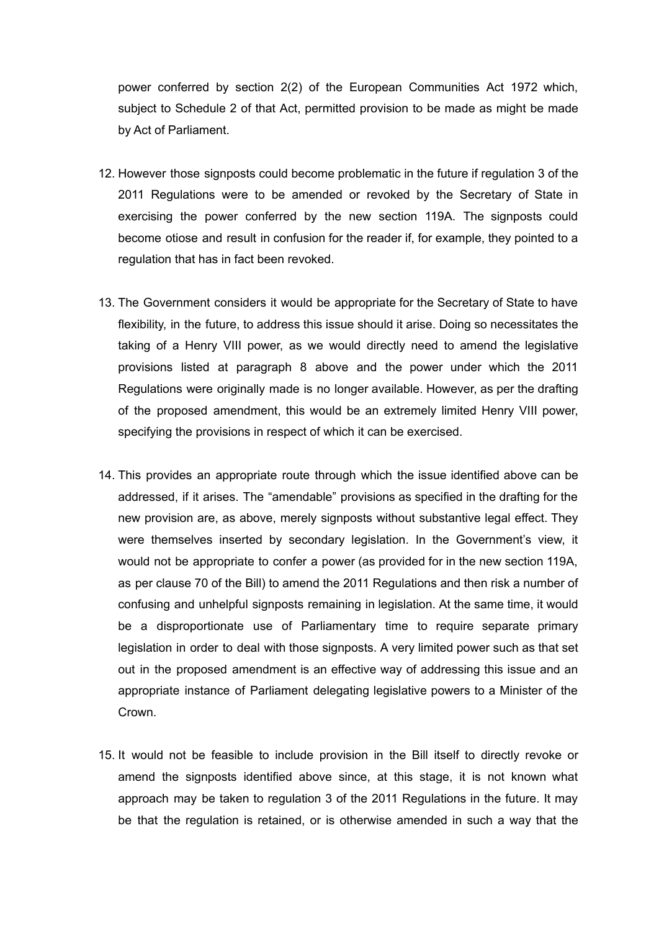power conferred by section 2(2) of the European Communities Act 1972 which, subject to Schedule 2 of that Act, permitted provision to be made as might be made by Act of Parliament.

- 12. However those signposts could become problematic in the future if regulation 3 of the 2011 Regulations were to be amended or revoked by the Secretary of State in exercising the power conferred by the new section 119A. The signposts could become otiose and result in confusion for the reader if, for example, they pointed to a regulation that has in fact been revoked.
- 13. The Government considers it would be appropriate for the Secretary of State to have flexibility, in the future, to address this issue should it arise. Doing so necessitates the taking of a Henry VIII power, as we would directly need to amend the legislative provisions listed at paragraph 8 above and the power under which the 2011 Regulations were originally made is no longer available. However, as per the drafting of the proposed amendment, this would be an extremely limited Henry VIII power, specifying the provisions in respect of which it can be exercised.
- 14. This provides an appropriate route through which the issue identified above can be addressed, if it arises. The "amendable" provisions as specified in the drafting for the new provision are, as above, merely signposts without substantive legal effect. They were themselves inserted by secondary legislation. In the Government's view, it would not be appropriate to confer a power (as provided for in the new section 119A, as per clause 70 of the Bill) to amend the 2011 Regulations and then risk a number of confusing and unhelpful signposts remaining in legislation. At the same time, it would be a disproportionate use of Parliamentary time to require separate primary legislation in order to deal with those signposts. A very limited power such as that set out in the proposed amendment is an effective way of addressing this issue and an appropriate instance of Parliament delegating legislative powers to a Minister of the Crown.
- 15. It would not be feasible to include provision in the Bill itself to directly revoke or amend the signposts identified above since, at this stage, it is not known what approach may be taken to regulation 3 of the 2011 Regulations in the future. It may be that the regulation is retained, or is otherwise amended in such a way that the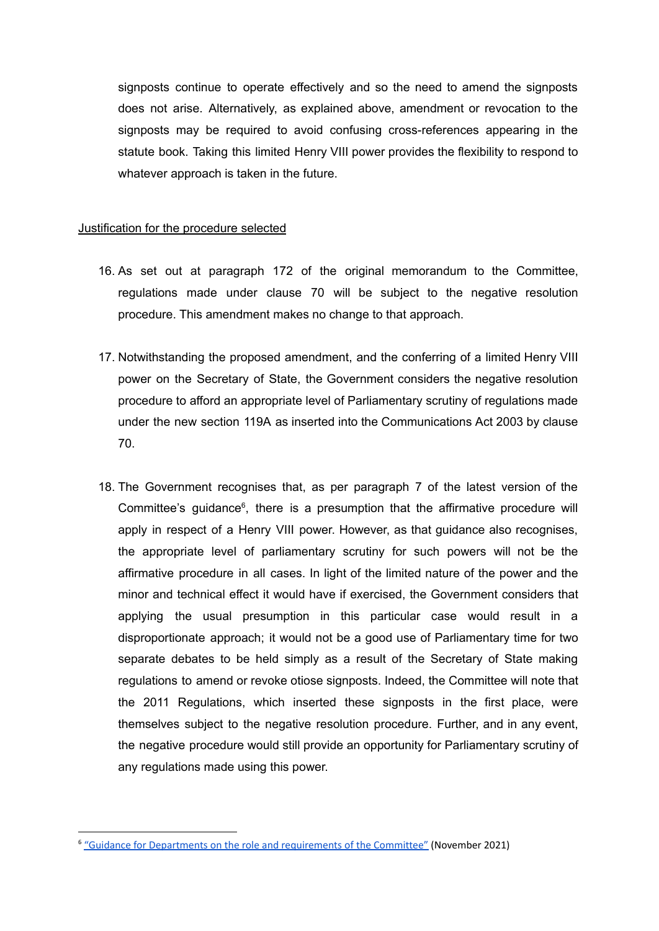signposts continue to operate effectively and so the need to amend the signposts does not arise. Alternatively, as explained above, amendment or revocation to the signposts may be required to avoid confusing cross-references appearing in the statute book. Taking this limited Henry VIII power provides the flexibility to respond to whatever approach is taken in the future.

#### Justification for the procedure selected

- 16. As set out at paragraph 172 of the original memorandum to the Committee, regulations made under clause 70 will be subject to the negative resolution procedure. This amendment makes no change to that approach.
- 17. Notwithstanding the proposed amendment, and the conferring of a limited Henry VIII power on the Secretary of State, the Government considers the negative resolution procedure to afford an appropriate level of Parliamentary scrutiny of regulations made under the new section 119A as inserted into the Communications Act 2003 by clause 70.
- 18. The Government recognises that, as per paragraph 7 of the latest version of the Committee's guidance $6$ , there is a presumption that the affirmative procedure will apply in respect of a Henry VIII power. However, as that guidance also recognises, the appropriate level of parliamentary scrutiny for such powers will not be the affirmative procedure in all cases. In light of the limited nature of the power and the minor and technical effect it would have if exercised, the Government considers that applying the usual presumption in this particular case would result in a disproportionate approach; it would not be a good use of Parliamentary time for two separate debates to be held simply as a result of the Secretary of State making regulations to amend or revoke otiose signposts. Indeed, the Committee will note that the 2011 Regulations, which inserted these signposts in the first place, were themselves subject to the negative resolution procedure. Further, and in any event, the negative procedure would still provide an opportunity for Parliamentary scrutiny of any regulations made using this power.

<sup>6</sup> "Guidance for Departments on the role and [requirements](https://committees.parliament.uk/publications/8225/documents/84262/default/) of the Committee" (November 2021)